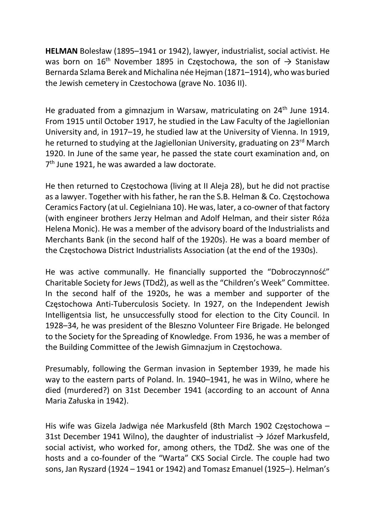HELMAN Bolesław (1895–1941 or 1942), lawyer, industrialist, social activist. He was born on  $16^{th}$  November 1895 in Częstochowa, the son of  $\rightarrow$  Stanisław Bernarda Szlama Berek and Michalina née Hejman (1871–1914), who was buried the Jewish cemetery in Czestochowa (grave No. 1036 II).

He graduated from a gimnazjum in Warsaw, matriculating on  $24<sup>th</sup>$  June 1914. From 1915 until October 1917, he studied in the Law Faculty of the Jagiellonian University and, in 1917–19, he studied law at the University of Vienna. In 1919, he returned to studying at the Jagiellonian University, graduating on 23<sup>rd</sup> March 1920. In June of the same year, he passed the state court examination and, on 7<sup>th</sup> June 1921, he was awarded a law doctorate.

He then returned to Częstochowa (living at II Aleja 28), but he did not practise as a lawyer. Together with his father, he ran the S.B. Helman & Co. Częstochowa Ceramics Factory (at ul. Cegielniana 10). He was, later, a co-owner of that factory (with engineer brothers Jerzy Helman and Adolf Helman, and their sister Róża Helena Monic). He was a member of the advisory board of the Industrialists and Merchants Bank (in the second half of the 1920s). He was a board member of the Częstochowa District Industrialists Association (at the end of the 1930s).

He was active communally. He financially supported the "Dobroczynność" Charitable Society for Jews (TDdŻ), as well as the "Children's Week" Committee. In the second half of the 1920s, he was a member and supporter of the Częstochowa Anti-Tuberculosis Society. In 1927, on the Independent Jewish Intelligentsia list, he unsuccessfully stood for election to the City Council. In 1928–34, he was president of the Bleszno Volunteer Fire Brigade. He belonged to the Society for the Spreading of Knowledge. From 1936, he was a member of the Building Committee of the Jewish Gimnazjum in Częstochowa.

Presumably, following the German invasion in September 1939, he made his way to the eastern parts of Poland. ln. 1940–1941, he was in Wilno, where he died (murdered?) on 31st December 1941 (according to an account of Anna Maria Załuska in 1942).

His wife was Gizela Jadwiga née Markusfeld (8th March 1902 Częstochowa – 31st December 1941 Wilno), the daughter of industrialist  $\rightarrow$  Józef Markusfeld, social activist, who worked for, among others, the TDdŻ. She was one of the hosts and a co-founder of the "Warta" CKS Social Circle. The couple had two sons, Jan Ryszard (1924 – 1941 or 1942) and Tomasz Emanuel (1925–). Helman's